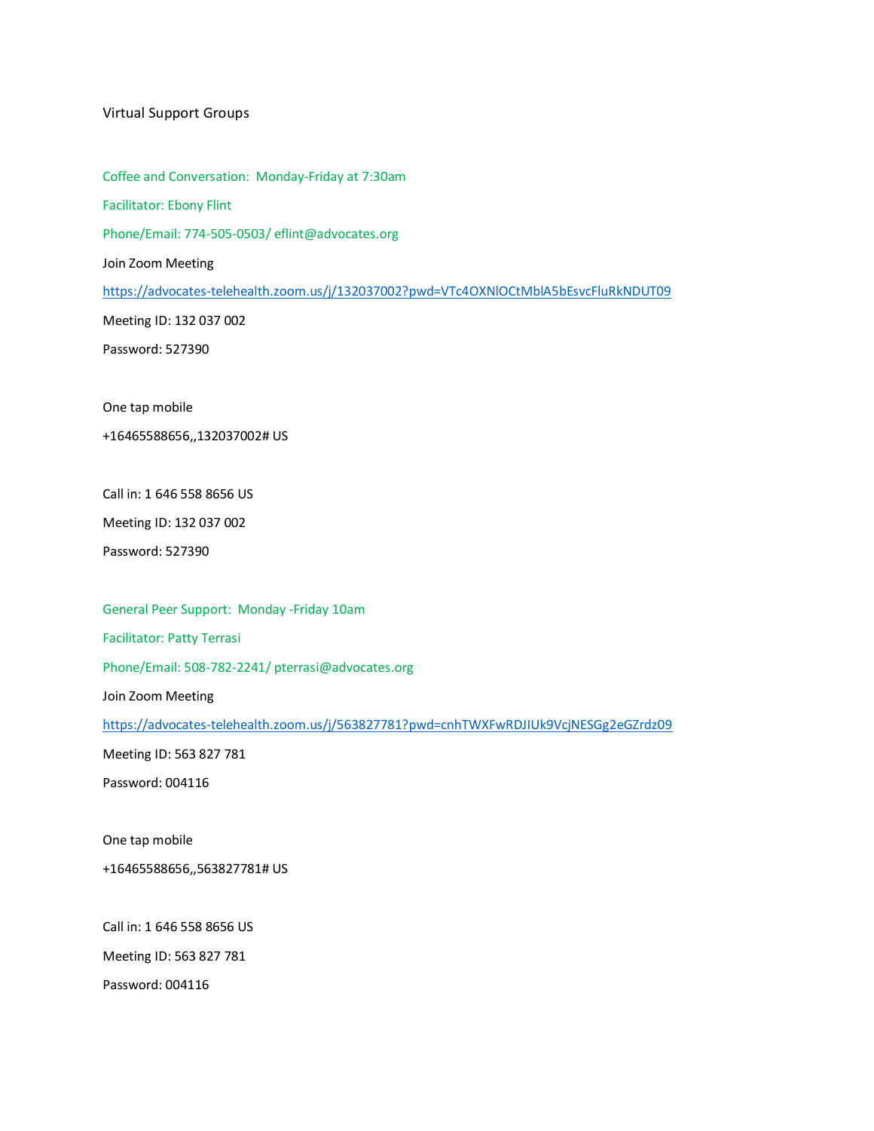#### Virtual Support Groups

Coffee and Conversation: Monday-Friday at 7:30am

Facilitator: Ebony Flint

Phone/Email: 774-505-0503/ eflint@advocates.org

Join Zoom Meeting

<https://advocates-telehealth.zoom.us/j/132037002?pwd=VTc4OXNlOCtMblA5bEsvcFluRkNDUT09>

Meeting ID: 132 037 002

Password: 527390

One tap mobile

+16465588656,,132037002# US

Call in: 1 646 558 8656 US

Meeting ID: 132 037 002

Password: 527390

General Peer Support: Monday -Friday 10am

Facilitator: Patty Terrasi

Phone/Email: 508-782-2241/ pterrasi@advocates.org

Join Zoom Meeting

<https://advocates-telehealth.zoom.us/j/563827781?pwd=cnhTWXFwRDJIUk9VcjNESGg2eGZrdz09>

Meeting ID: 563 827 781

Password: 004116

One tap mobile

+16465588656,,563827781# US

Call in: 1 646 558 8656 US

Meeting ID: 563 827 781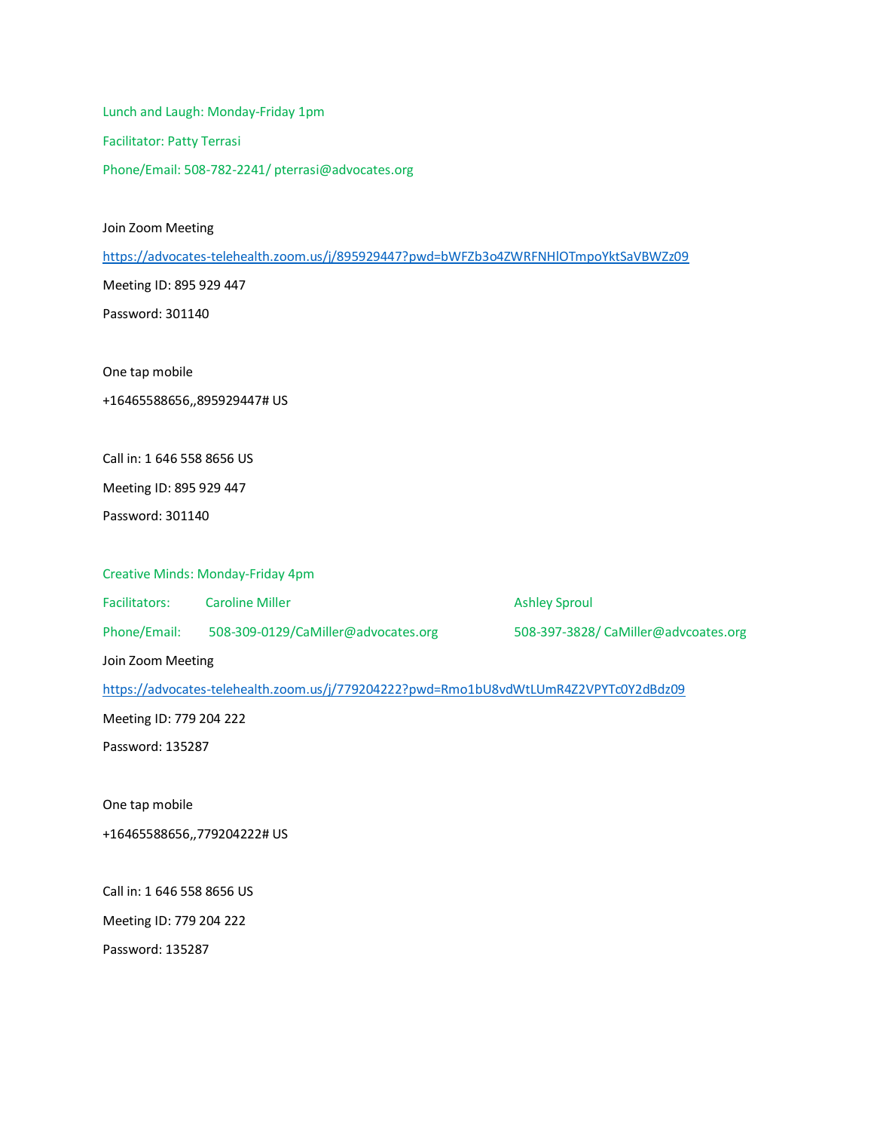Lunch and Laugh: Monday-Friday 1pm Facilitator: Patty Terrasi Phone/Email: 508-782-2241/ pterrasi@advocates.org

Join Zoom Meeting

<https://advocates-telehealth.zoom.us/j/895929447?pwd=bWFZb3o4ZWRFNHlOTmpoYktSaVBWZz09>

Meeting ID: 895 929 447

Password: 301140

One tap mobile

+16465588656,,895929447# US

Call in: 1 646 558 8656 US

Meeting ID: 895 929 447

Password: 301140

Creative Minds: Monday-Friday 4pm

Facilitators: Caroline Miller **Ashley Sproul** Ashley Sproul

Phone/Email: 508-309-0129/CaMiller@advocates.org 508-397-3828/ CaMiller@advcoates.org

Join Zoom Meeting

<https://advocates-telehealth.zoom.us/j/779204222?pwd=Rmo1bU8vdWtLUmR4Z2VPYTc0Y2dBdz09>

Meeting ID: 779 204 222

Password: 135287

One tap mobile

+16465588656,,779204222# US

Call in: 1 646 558 8656 US

Meeting ID: 779 204 222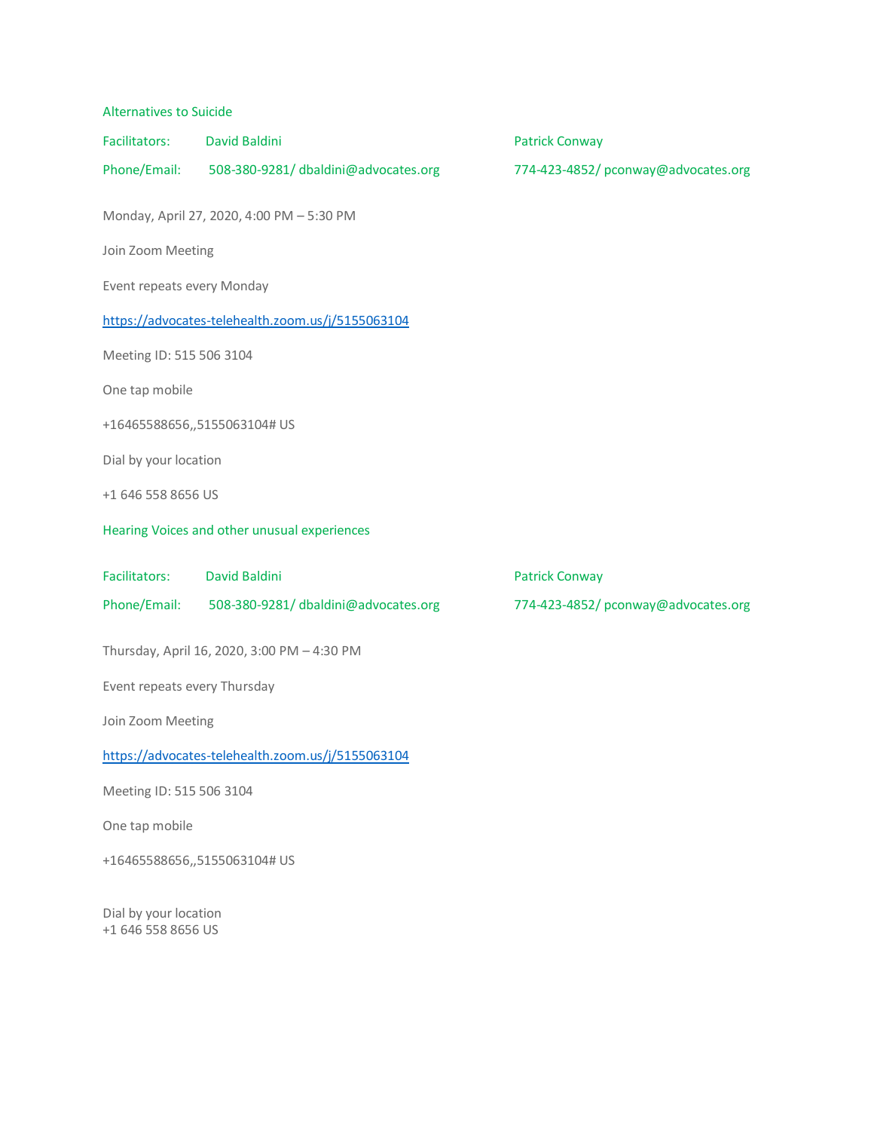| <b>Alternatives to Suicide</b>                    |                                                  |                                    |
|---------------------------------------------------|--------------------------------------------------|------------------------------------|
| Facilitators:                                     | David Baldini                                    | <b>Patrick Conway</b>              |
|                                                   | Phone/Email: 508-380-9281/dbaldini@advocates.org | 774-423-4852/pconway@advocates.org |
|                                                   | Monday, April 27, 2020, 4:00 PM - 5:30 PM        |                                    |
| Join Zoom Meeting                                 |                                                  |                                    |
| Event repeats every Monday                        |                                                  |                                    |
| https://advocates-telehealth.zoom.us/j/5155063104 |                                                  |                                    |
| Meeting ID: 515 506 3104                          |                                                  |                                    |
| One tap mobile                                    |                                                  |                                    |
|                                                   | +16465588656,,5155063104# US                     |                                    |
| Dial by your location                             |                                                  |                                    |
| +1 646 558 8656 US                                |                                                  |                                    |
| Hearing Voices and other unusual experiences      |                                                  |                                    |
| Facilitators:                                     | David Baldini                                    | <b>Patrick Conway</b>              |
|                                                   | Phone/Email: 508-380-9281/dbaldini@advocates.org | 774-423-4852/pconway@advocates.org |
|                                                   | Thursday, April 16, 2020, 3:00 PM - 4:30 PM      |                                    |
| Event repeats every Thursday                      |                                                  |                                    |
| Join Zoom Meeting                                 |                                                  |                                    |
| https://advocates-telehealth.zoom.us/j/5155063104 |                                                  |                                    |
| Meeting ID: 515 506 3104                          |                                                  |                                    |
| One tap mobile                                    |                                                  |                                    |
| +16465588656,,5155063104# US                      |                                                  |                                    |
| Dial by your location                             |                                                  |                                    |

+1 646 558 8656 US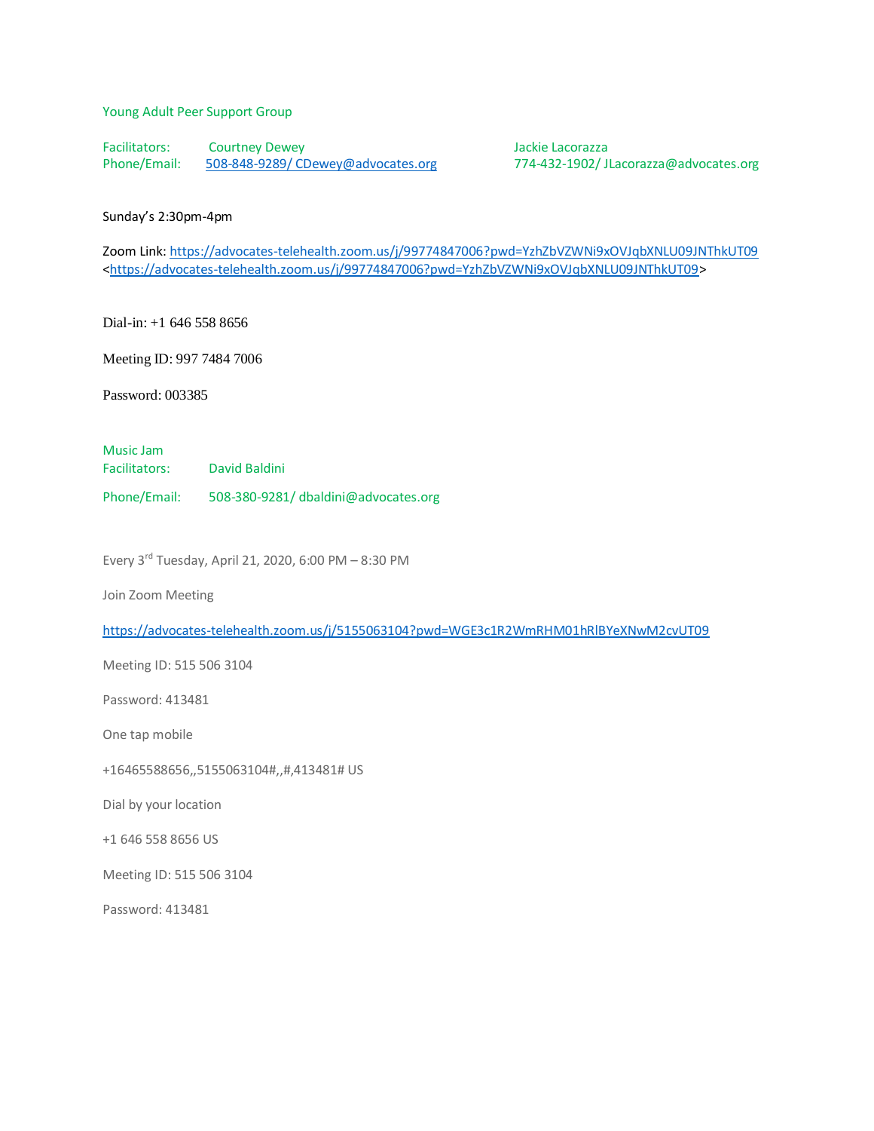### Young Adult Peer Support Group

Facilitators: Courtney Dewey<br>
Phone/Email: 508-848-9289/CDewey@advocates.org 774-432-1902/JI

[508-848-9289/ CDewey@advocates.org](mailto:508-848-9289/%20CDewey@advocates.org) 774-432-1902/ JLacorazza@advocates.org

### Sunday's 2:30pm-4pm

Zoom Link: <https://advocates-telehealth.zoom.us/j/99774847006?pwd=YzhZbVZWNi9xOVJqbXNLU09JNThkUT09> [<https://advocates-telehealth.zoom.us/j/99774847006?pwd=YzhZbVZWNi9xOVJqbXNLU09JNThkUT09>](https://advocates-telehealth.zoom.us/j/99774847006?pwd=YzhZbVZWNi9xOVJqbXNLU09JNThkUT09)

Dial-in: +1 646 558 8656

Meeting ID: 997 7484 7006

Password: 003385

Music Jam

Facilitators: David Baldini

Phone/Email: 508-380-9281/ dbaldini@advocates.org

Every 3rd Tuesday, April 21, 2020, 6:00 PM – 8:30 PM

Join Zoom Meeting

<https://advocates-telehealth.zoom.us/j/5155063104?pwd=WGE3c1R2WmRHM01hRlBYeXNwM2cvUT09>

Meeting ID: 515 506 3104

Password: 413481

One tap mobile

+16465588656,,5155063104#,,#,413481# US

Dial by your location

+1 646 558 8656 US

Meeting ID: 515 506 3104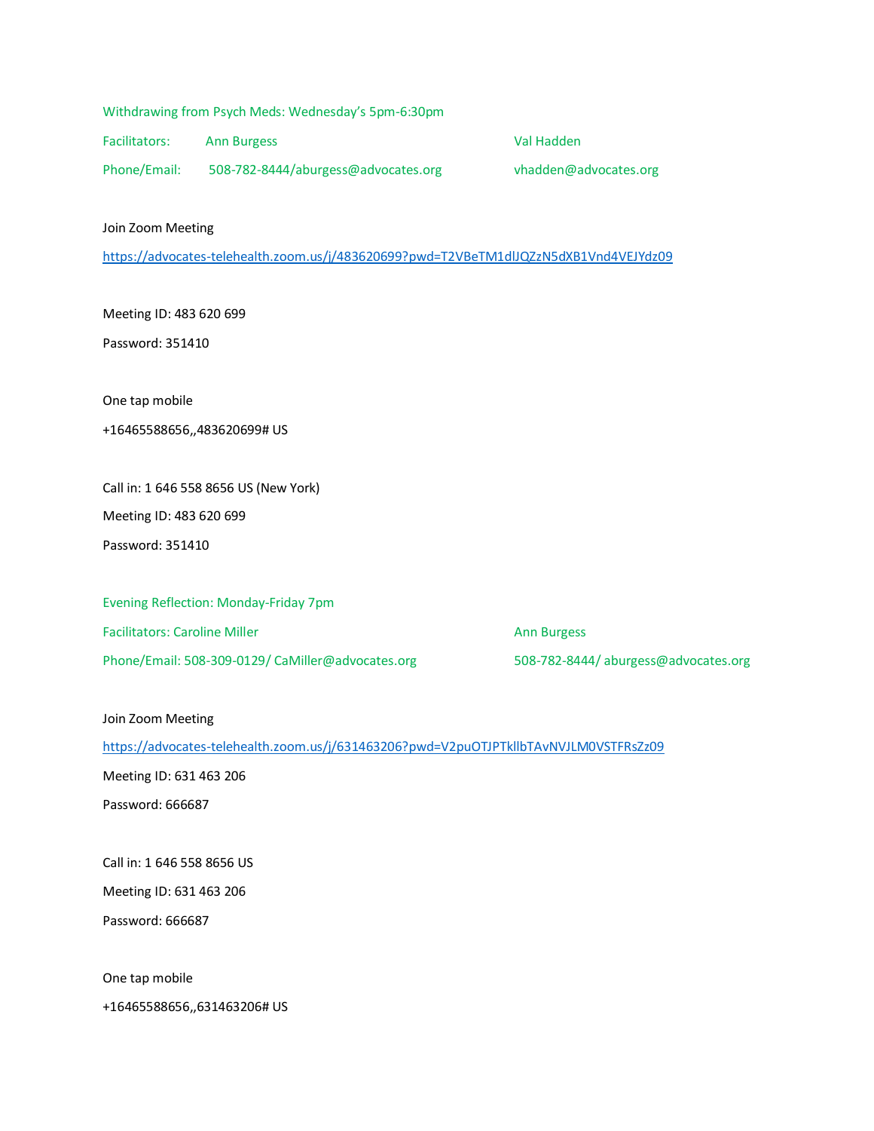Facilitators: Ann Burgess Val Hadden

Phone/Email: 508-782-8444/aburgess@advocates.org vhadden@advocates.org

Join Zoom Meeting

<https://advocates-telehealth.zoom.us/j/483620699?pwd=T2VBeTM1dlJQZzN5dXB1Vnd4VEJYdz09>

Meeting ID: 483 620 699

Password: 351410

One tap mobile

# +16465588656,,483620699# US

Call in: 1 646 558 8656 US (New York) Meeting ID: 483 620 699 Password: 351410

Evening Reflection: Monday-Friday 7pm Facilitators: Caroline Miller Ann Burgess Ann Burgess Phone/Email: 508-309-0129/ CaMiller@advocates.org 508-782-8444/ aburgess@advocates.org

## Join Zoom Meeting

<https://advocates-telehealth.zoom.us/j/631463206?pwd=V2puOTJPTkllbTAvNVJLM0VSTFRsZz09>

Meeting ID: 631 463 206

Password: 666687

Call in: 1 646 558 8656 US

Meeting ID: 631 463 206

Password: 666687

One tap mobile

+16465588656,,631463206# US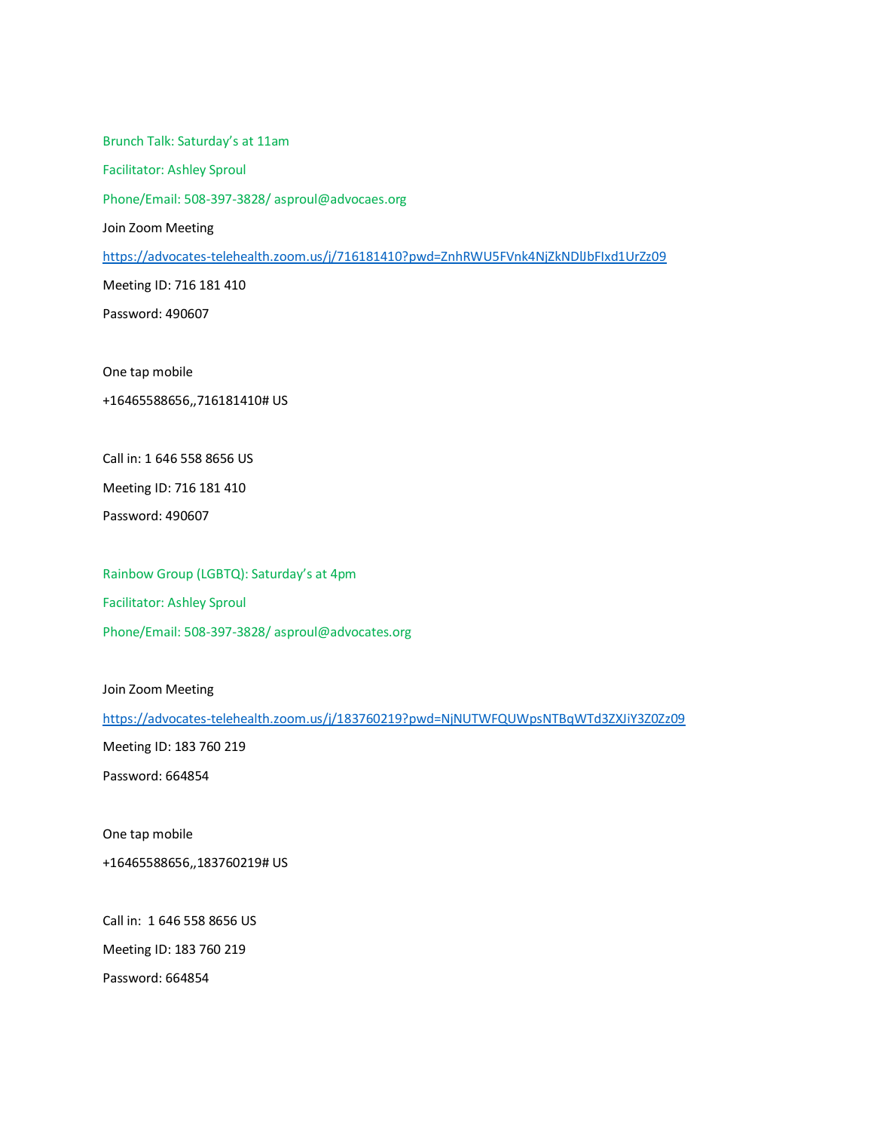Brunch Talk: Saturday's at 11am Facilitator: Ashley Sproul Phone/Email: 508-397-3828/ asproul@advocaes.org Join Zoom Meeting <https://advocates-telehealth.zoom.us/j/716181410?pwd=ZnhRWU5FVnk4NjZkNDlJbFIxd1UrZz09> Meeting ID: 716 181 410 Password: 490607

One tap mobile

+16465588656,,716181410# US

Call in: 1 646 558 8656 US

Meeting ID: 716 181 410

Password: 490607

Rainbow Group (LGBTQ): Saturday's at 4pm Facilitator: Ashley Sproul Phone/Email: 508-397-3828/ asproul@advocates.org

Join Zoom Meeting

<https://advocates-telehealth.zoom.us/j/183760219?pwd=NjNUTWFQUWpsNTBqWTd3ZXJiY3Z0Zz09>

Meeting ID: 183 760 219

Password: 664854

One tap mobile

+16465588656,,183760219# US

Call in: 1 646 558 8656 US

Meeting ID: 183 760 219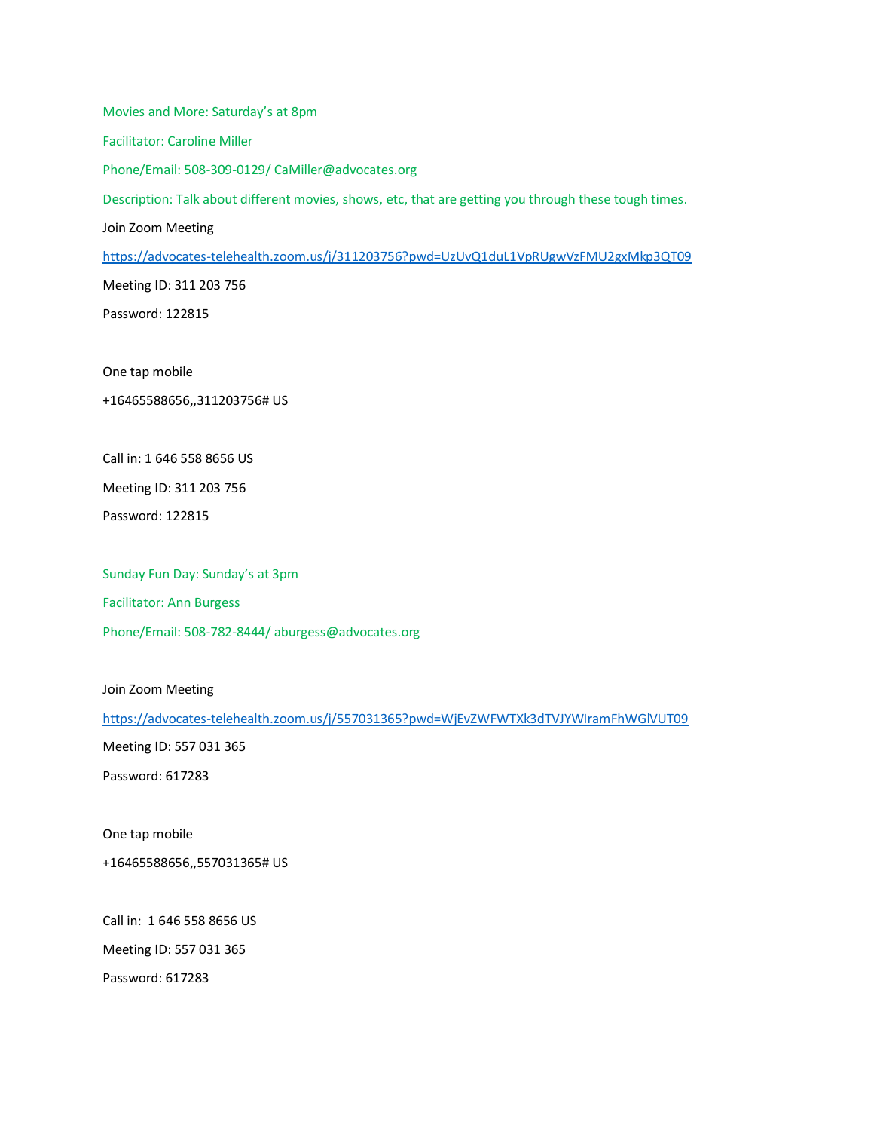Movies and More: Saturday's at 8pm Facilitator: Caroline Miller Phone/Email: 508-309-0129/ CaMiller@advocates.org Description: Talk about different movies, shows, etc, that are getting you through these tough times. Join Zoom Meeting <https://advocates-telehealth.zoom.us/j/311203756?pwd=UzUvQ1duL1VpRUgwVzFMU2gxMkp3QT09> Meeting ID: 311 203 756 Password: 122815

One tap mobile

+16465588656,,311203756# US

Call in: 1 646 558 8656 US

Meeting ID: 311 203 756

Password: 122815

Sunday Fun Day: Sunday's at 3pm Facilitator: Ann Burgess Phone/Email: 508-782-8444/ aburgess@advocates.org

Join Zoom Meeting

<https://advocates-telehealth.zoom.us/j/557031365?pwd=WjEvZWFWTXk3dTVJYWIramFhWGlVUT09>

Meeting ID: 557 031 365

Password: 617283

One tap mobile

+16465588656,,557031365# US

Call in: 1 646 558 8656 US

Meeting ID: 557 031 365